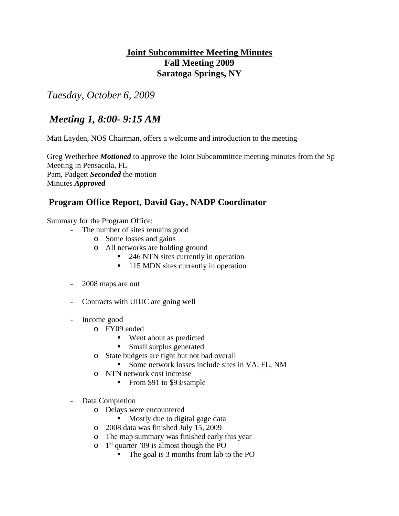# **Joint Subcommittee Meeting Minutes Fall Meeting 2009 Saratoga Springs, NY**

*Tuesday, October 6, 2009*

# *Meeting 1, 8:00- 9:15 AM*

Matt Layden, NOS Chairman, offers a welcome and introduction to the meeting

Greg Wetherbee *Motioned* to approve the Joint Subcommittee meeting minutes from the Sp Meeting in Pensacola, FL Pam, Padgett *Seconded* the motion Minutes *Approved*

# **Program Office Report, David Gay, NADP Coordinator**

Summary for the Program Office:

- The number of sites remains good
	- o Some losses and gains
	- o All networks are holding ground
		- 246 NTN sites currently in operation
		- 115 MDN sites currently in operation
- 2008 maps are out
- Contracts with UIUC are going well
- Income good
	- o FY09 ended
		- Went about as predicted
		- **Small surplus generated**
	- o State budgets are tight but not bad overall
		- Some network losses include sites in VA, FL, NM
	- o NTN network cost increase
		- From \$91 to \$93/sample
- Data Completion
	- o Delays were encountered
		- Mostly due to digital gage data
	- o 2008 data was finished July 15, 2009
	- o The map summary was finished early this year
	- $\circ$  1<sup>st</sup> quarter '09 is almost though the PO
		- The goal is 3 months from lab to the PO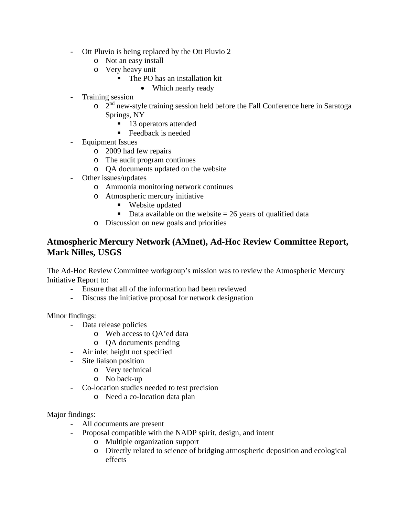- Ott Pluvio is being replaced by the Ott Pluvio 2
	- o Not an easy install
	- o Very heavy unit
		- The PO has an installation kit
			- Which nearly ready
- Training session
	- $2<sup>nd</sup>$  new-style training session held before the Fall Conference here in Saratoga Springs, NY
		- 13 operators attended
		- Feedback is needed
- Equipment Issues
	- o 2009 had few repairs
	- o The audit program continues
	- o QA documents updated on the website
- Other issues/updates
	- o Ammonia monitoring network continues
	- o Atmospheric mercury initiative
		- Website updated
		- Data available on the website  $= 26$  years of qualified data
	- o Discussion on new goals and priorities

### **Atmospheric Mercury Network (AMnet), Ad-Hoc Review Committee Report, Mark Nilles, USGS**

The Ad-Hoc Review Committee workgroup's mission was to review the Atmospheric Mercury Initiative Report to:

- Ensure that all of the information had been reviewed
- Discuss the initiative proposal for network designation

Minor findings:

- Data release policies
	- o Web access to QA'ed data
	- o QA documents pending
- Air inlet height not specified
- Site liaison position
	- o Very technical
	- o No back-up
- Co-location studies needed to test precision
	- o Need a co-location data plan

#### Major findings:

- All documents are present
- Proposal compatible with the NADP spirit, design, and intent
	- o Multiple organization support
	- o Directly related to science of bridging atmospheric deposition and ecological effects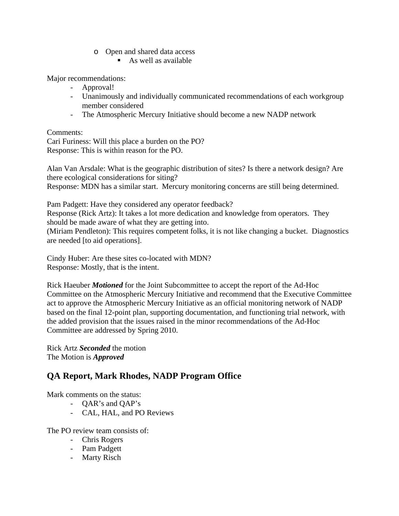- o Open and shared data access
	- $\blacksquare$  As well as available

Major recommendations:

- Approval!
- Unanimously and individually communicated recommendations of each workgroup member considered
- The Atmospheric Mercury Initiative should become a new NADP network

Comments:

Cari Furiness: Will this place a burden on the PO? Response: This is within reason for the PO.

Alan Van Arsdale: What is the geographic distribution of sites? Is there a network design? Are there ecological considerations for siting?

Response: MDN has a similar start. Mercury monitoring concerns are still being determined.

Pam Padgett: Have they considered any operator feedback? Response (Rick Artz): It takes a lot more dedication and knowledge from operators. They should be made aware of what they are getting into. (Miriam Pendleton): This requires competent folks, it is not like changing a bucket. Diagnostics

Cindy Huber: Are these sites co-located with MDN?

Response: Mostly, that is the intent.

are needed [to aid operations].

Rick Haeuber *Motioned* for the Joint Subcommittee to accept the report of the Ad-Hoc Committee on the Atmospheric Mercury Initiative and recommend that the Executive Committee act to approve the Atmospheric Mercury Initiative as an official monitoring network of NADP based on the final 12-point plan, supporting documentation, and functioning trial network, with the added provision that the issues raised in the minor recommendations of the Ad-Hoc Committee are addressed by Spring 2010.

Rick Artz *Seconded* the motion The Motion is *Approved*

## **QA Report, Mark Rhodes, NADP Program Office**

Mark comments on the status:

- QAR's and QAP's
- CAL, HAL, and PO Reviews

The PO review team consists of:

- Chris Rogers
- Pam Padgett
- Marty Risch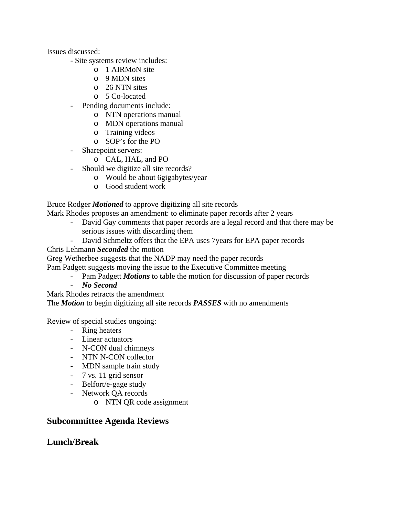Issues discussed:

- Site systems review includes:
	- o 1 AIRMoN site
	- o 9 MDN sites
	- o 26 NTN sites
	- o 5 Co-located
- Pending documents include:
	- o NTN operations manual
	- o MDN operations manual
	- o Training videos
	- o SOP's for the PO
- Sharepoint servers:
	- o CAL, HAL, and PO
- Should we digitize all site records?
	- o Would be about 6gigabytes/year
	- o Good student work

Bruce Rodger *Motioned* to approve digitizing all site records

Mark Rhodes proposes an amendment: to eliminate paper records after 2 years

- David Gay comments that paper records are a legal record and that there may be serious issues with discarding them
- David Schmeltz offers that the EPA uses 7years for EPA paper records

Chris Lehmann *Seconded* the motion

Greg Wetherbee suggests that the NADP may need the paper records

- Pam Padgett suggests moving the issue to the Executive Committee meeting
	- Pam Padgett *Motions* to table the motion for discussion of paper records
	- *No Second*

Mark Rhodes retracts the amendment

The *Motion* to begin digitizing all site records *PASSES* with no amendments

Review of special studies ongoing:

- Ring heaters
- Linear actuators
- N-CON dual chimneys
- NTN N-CON collector
- MDN sample train study
- 7 vs. 11 grid sensor
- Belfort/e-gage study
- Network QA records
	- o NTN QR code assignment

### **Subcommittee Agenda Reviews**

## **Lunch/Break**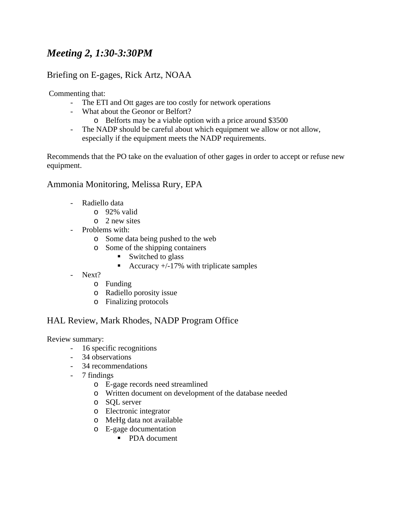# *Meeting 2, 1:30-3:30PM*

## Briefing on E-gages, Rick Artz, NOAA

Commenting that:

- The ETI and Ott gages are too costly for network operations
- What about the Geonor or Belfort?
	- o Belforts may be a viable option with a price around \$3500
- The NADP should be careful about which equipment we allow or not allow, especially if the equipment meets the NADP requirements.

Recommends that the PO take on the evaluation of other gages in order to accept or refuse new equipment.

### Ammonia Monitoring, Melissa Rury, EPA

- Radiello data
	- o 92% valid
	- o 2 new sites
- Problems with:
	- o Some data being pushed to the web
	- o Some of the shipping containers
		- $\blacksquare$  Switched to glass
		- Accuracy  $+/-17\%$  with triplicate samples
- Next?
	- o Funding
	- o Radiello porosity issue
	- o Finalizing protocols

### HAL Review, Mark Rhodes, NADP Program Office

Review summary:

- 16 specific recognitions
- 34 observations
- 34 recommendations
- 7 findings
	- o E-gage records need streamlined
	- o Written document on development of the database needed
	- o SQL server
	- o Electronic integrator
	- o MeHg data not available
	- o E-gage documentation
		- PDA document